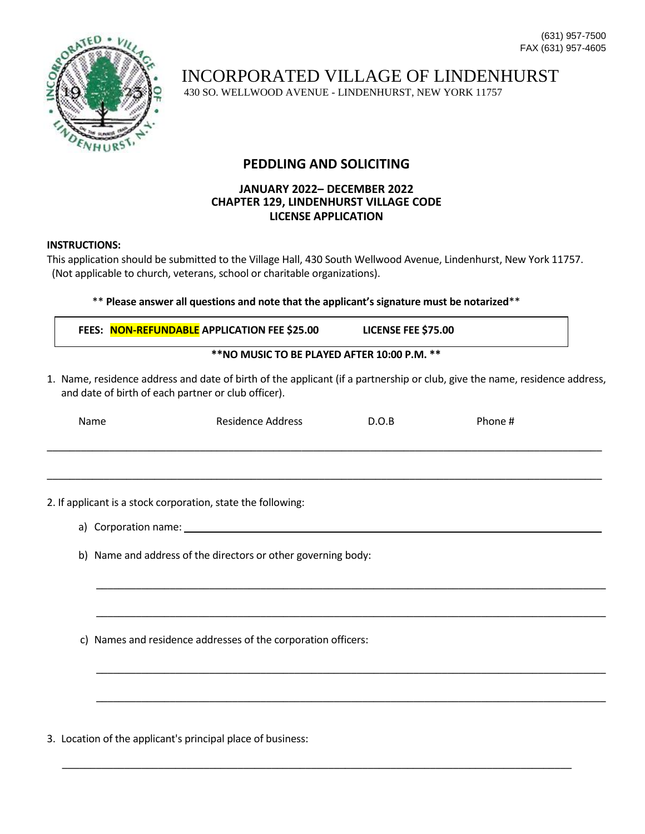

INCORPORATED VILLAGE OF LINDENHURST

430 SO. WELLWOOD AVENUE - LINDENHURST, NEW YORK 11757

## **PEDDLING AND SOLICITING**

## **JANUARY 2022– DECEMBER 2022 CHAPTER 129, LINDENHURST VILLAGE CODE LICENSE APPLICATION**

## **INSTRUCTIONS:**

This application should be submitted to the Village Hall, 430 South Wellwood Avenue, Lindenhurst, New York 11757. (Not applicable to church, veterans, school or charitable organizations).

## \*\* **Please answer all questions and note that the applicant's signature must be notarized**\*\*

|                                                               | FEES: NON-REFUNDABLE APPLICATION FEE \$25.00                                                                                                                                      | LICENSE FEE \$75.00 |         |  |  |
|---------------------------------------------------------------|-----------------------------------------------------------------------------------------------------------------------------------------------------------------------------------|---------------------|---------|--|--|
| **NO MUSIC TO BE PLAYED AFTER 10:00 P.M. **                   |                                                                                                                                                                                   |                     |         |  |  |
|                                                               | 1. Name, residence address and date of birth of the applicant (if a partnership or club, give the name, residence address,<br>and date of birth of each partner or club officer). |                     |         |  |  |
| Name                                                          | Residence Address                                                                                                                                                                 | D.O.B               | Phone # |  |  |
|                                                               |                                                                                                                                                                                   |                     |         |  |  |
|                                                               |                                                                                                                                                                                   |                     |         |  |  |
|                                                               | 2. If applicant is a stock corporation, state the following:                                                                                                                      |                     |         |  |  |
|                                                               | a) Corporation name:                                                                                                                                                              |                     |         |  |  |
| b) Name and address of the directors or other governing body: |                                                                                                                                                                                   |                     |         |  |  |
|                                                               |                                                                                                                                                                                   |                     |         |  |  |
|                                                               |                                                                                                                                                                                   |                     |         |  |  |

\_\_\_\_\_\_\_\_\_\_\_\_\_\_\_\_\_\_\_\_\_\_\_\_\_\_\_\_\_\_\_\_\_\_\_\_\_\_\_\_\_\_\_\_\_\_\_\_\_\_\_\_\_\_\_\_\_\_\_\_\_\_\_\_\_\_\_\_\_\_\_\_\_\_\_\_\_\_\_\_\_\_\_\_\_\_\_\_\_\_

 $\overline{\phantom{a}}$  ,  $\overline{\phantom{a}}$  ,  $\overline{\phantom{a}}$  ,  $\overline{\phantom{a}}$  ,  $\overline{\phantom{a}}$  ,  $\overline{\phantom{a}}$  ,  $\overline{\phantom{a}}$  ,  $\overline{\phantom{a}}$  ,  $\overline{\phantom{a}}$  ,  $\overline{\phantom{a}}$  ,  $\overline{\phantom{a}}$  ,  $\overline{\phantom{a}}$  ,  $\overline{\phantom{a}}$  ,  $\overline{\phantom{a}}$  ,  $\overline{\phantom{a}}$  ,  $\overline{\phantom{a}}$ 

 $\overline{\phantom{a}}$  ,  $\overline{\phantom{a}}$  ,  $\overline{\phantom{a}}$  ,  $\overline{\phantom{a}}$  ,  $\overline{\phantom{a}}$  ,  $\overline{\phantom{a}}$  ,  $\overline{\phantom{a}}$  ,  $\overline{\phantom{a}}$  ,  $\overline{\phantom{a}}$  ,  $\overline{\phantom{a}}$  ,  $\overline{\phantom{a}}$  ,  $\overline{\phantom{a}}$  ,  $\overline{\phantom{a}}$  ,  $\overline{\phantom{a}}$  ,  $\overline{\phantom{a}}$  ,  $\overline{\phantom{a}}$ 

\_\_\_\_\_\_\_\_\_\_\_\_\_\_\_\_\_\_\_\_\_\_\_\_\_\_\_\_\_\_\_\_\_\_\_\_\_\_\_\_\_\_\_\_\_\_\_\_\_\_\_\_\_\_\_\_\_\_\_\_\_\_\_\_\_\_\_\_\_\_\_\_\_\_\_\_\_\_\_\_\_\_\_\_\_\_\_\_\_\_

c) Names and residence addresses of the corporation officers:

3. Location of the applicant's principal place of business: